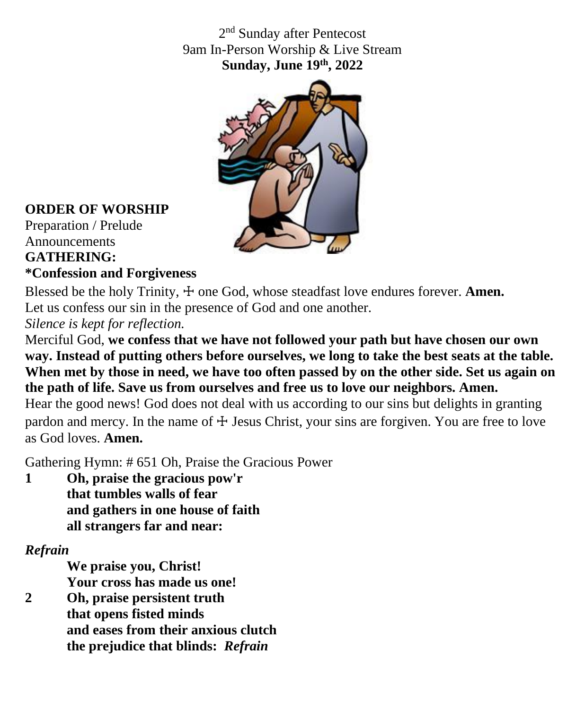2<sup>nd</sup> Sunday after Pentecost 9am In-Person Worship & Live Stream **Sunday, June 19 th, 2022**



### **ORDER OF WORSHIP**

Preparation / Prelude Announcements **GATHERING:**

### **\*Confession and Forgiveness**

Blessed be the holy Trinity,  $\pm$  one God, whose steadfast love endures forever. **Amen.** Let us confess our sin in the presence of God and one another.

*Silence is kept for reflection.*

Merciful God, **we confess that we have not followed your path but have chosen our own way. Instead of putting others before ourselves, we long to take the best seats at the table. When met by those in need, we have too often passed by on the other side. Set us again on the path of life. Save us from ourselves and free us to love our neighbors. Amen.**

Hear the good news! God does not deal with us according to our sins but delights in granting pardon and mercy. In the name of  $\pm$  Jesus Christ, your sins are forgiven. You are free to love as God loves. **Amen.**

Gathering Hymn: # 651 Oh, Praise the Gracious Power

**1 Oh, praise the gracious pow'r that tumbles walls of fear and gathers in one house of faith all strangers far and near:**

### *Refrain*

**We praise you, Christ! Your cross has made us one!**

**2 Oh, praise persistent truth that opens fisted minds and eases from their anxious clutch the prejudice that blinds:** *Refrain*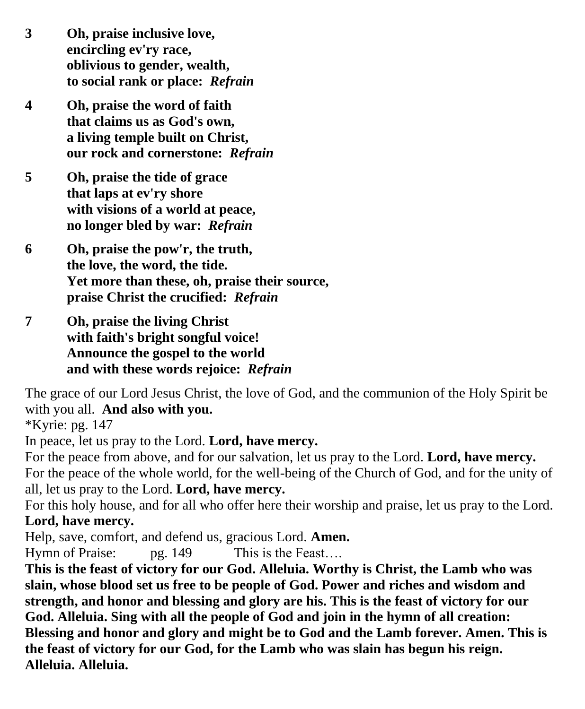- **3 Oh, praise inclusive love, encircling ev'ry race, oblivious to gender, wealth, to social rank or place:** *Refrain*
- **4 Oh, praise the word of faith that claims us as God's own, a living temple built on Christ, our rock and cornerstone:** *Refrain*
- **5 Oh, praise the tide of grace that laps at ev'ry shore with visions of a world at peace, no longer bled by war:** *Refrain*
- **6 Oh, praise the pow'r, the truth, the love, the word, the tide. Yet more than these, oh, praise their source, praise Christ the crucified:** *Refrain*
- **7 Oh, praise the living Christ with faith's bright songful voice! Announce the gospel to the world and with these words rejoice:** *Refrain*

The grace of our Lord Jesus Christ, the love of God, and the communion of the Holy Spirit be with you all. **And also with you.**

\*Kyrie: pg. 147

In peace, let us pray to the Lord. **Lord, have mercy.**

For the peace from above, and for our salvation, let us pray to the Lord. **Lord, have mercy.** For the peace of the whole world, for the well-being of the Church of God, and for the unity of all, let us pray to the Lord. **Lord, have mercy.**

For this holy house, and for all who offer here their worship and praise, let us pray to the Lord. **Lord, have mercy.**

Help, save, comfort, and defend us, gracious Lord. **Amen.**

Hymn of Praise: pg. 149 This is the Feast....

**This is the feast of victory for our God. Alleluia. Worthy is Christ, the Lamb who was slain, whose blood set us free to be people of God. Power and riches and wisdom and strength, and honor and blessing and glory are his. This is the feast of victory for our God. Alleluia. Sing with all the people of God and join in the hymn of all creation: Blessing and honor and glory and might be to God and the Lamb forever. Amen. This is the feast of victory for our God, for the Lamb who was slain has begun his reign. Alleluia. Alleluia.**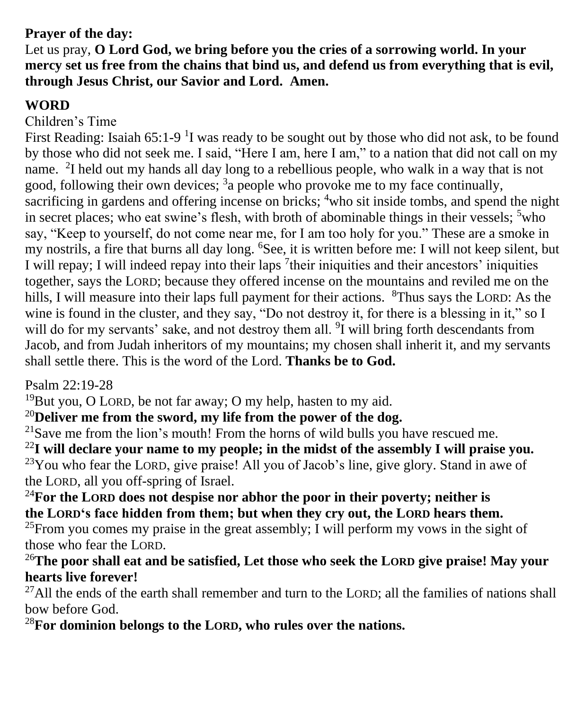## **Prayer of the day:**

Let us pray, **O Lord God, we bring before you the cries of a sorrowing world. In your mercy set us free from the chains that bind us, and defend us from everything that is evil, through Jesus Christ, our Savior and Lord. Amen.**

## **WORD**

#### Children's Time

First Reading: Isaiah  $65:1-9<sup>1</sup>I$  was ready to be sought out by those who did not ask, to be found by those who did not seek me. I said, "Here I am, here I am," to a nation that did not call on my name. <sup>2</sup>I held out my hands all day long to a rebellious people, who walk in a way that is not good, following their own devices; <sup>3</sup>a people who provoke me to my face continually, sacrificing in gardens and offering incense on bricks;  $\frac{4}{1}$  who sit inside tombs, and spend the night in secret places; who eat swine's flesh, with broth of abominable things in their vessels;  $5$  who say, "Keep to yourself, do not come near me, for I am too holy for you." These are a smoke in my nostrils, a fire that burns all day long. <sup>6</sup>See, it is written before me: I will not keep silent, but I will repay; I will indeed repay into their laps <sup>7</sup> their iniquities and their ancestors' iniquities together, says the LORD; because they offered incense on the mountains and reviled me on the hills, I will measure into their laps full payment for their actions. <sup>8</sup>Thus says the LORD: As the wine is found in the cluster, and they say, "Do not destroy it, for there is a blessing in it," so I will do for my servants' sake, and not destroy them all. <sup>9</sup>I will bring forth descendants from Jacob, and from Judah inheritors of my mountains; my chosen shall inherit it, and my servants shall settle there. This is the word of the Lord. **Thanks be to God.**

Psalm 22:19-28

<sup>19</sup>But you, O LORD, be not far away; O my help, hasten to my aid.

<sup>20</sup>**Deliver me from the sword, my life from the power of the dog.**

 $^{21}$ Save me from the lion's mouth! From the horns of wild bulls you have rescued me.

<sup>22</sup>**I will declare your name to my people; in the midst of the assembly I will praise you.**

 $23$ You who fear the LORD, give praise! All you of Jacob's line, give glory. Stand in awe of the LORD, all you off-spring of Israel.

<sup>24</sup>**For the LORD does not despise nor abhor the poor in their poverty; neither is the LORD's face hidden from them; but when they cry out, the LORD hears them.** <sup>25</sup>From you comes my praise in the great assembly; I will perform my vows in the sight of those who fear the LORD.

### <sup>26</sup>**The poor shall eat and be satisfied, Let those who seek the LORD give praise! May your hearts live forever!**

 $^{27}$ All the ends of the earth shall remember and turn to the LORD; all the families of nations shall bow before God.

<sup>28</sup>**For dominion belongs to the LORD, who rules over the nations.**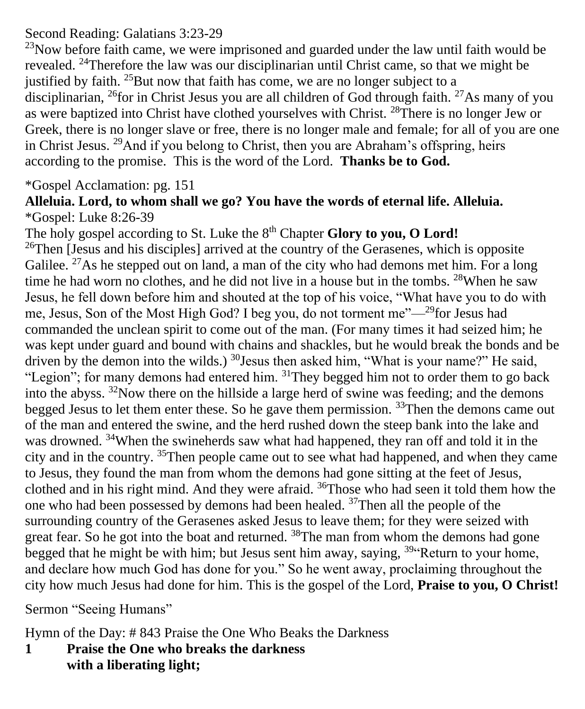### Second Reading: Galatians 3:23-29

 $^{23}$ Now before faith came, we were imprisoned and guarded under the law until faith would be revealed. <sup>24</sup>Therefore the law was our disciplinarian until Christ came, so that we might be justified by faith. <sup>25</sup>But now that faith has come, we are no longer subject to a disciplinarian,  $^{26}$  for in Christ Jesus you are all children of God through faith.  $^{27}$ As many of you as were baptized into Christ have clothed yourselves with Christ. <sup>28</sup>There is no longer Jew or Greek, there is no longer slave or free, there is no longer male and female; for all of you are one in Christ Jesus. <sup>29</sup>And if you belong to Christ, then you are Abraham's offspring, heirs according to the promise. This is the word of the Lord. **Thanks be to God.**

### \*Gospel Acclamation: pg. 151

#### **Alleluia. Lord, to whom shall we go? You have the words of eternal life. Alleluia.** \*Gospel: Luke 8:26-39

The holy gospel according to St. Luke the 8<sup>th</sup> Chapter Glory to you, O Lord!  $26$ Then [Jesus and his disciples] arrived at the country of the Gerasenes, which is opposite Galilee. <sup>27</sup>As he stepped out on land, a man of the city who had demons met him. For a long time he had worn no clothes, and he did not live in a house but in the tombs. <sup>28</sup>When he saw Jesus, he fell down before him and shouted at the top of his voice, "What have you to do with me, Jesus, Son of the Most High God? I beg you, do not torment me"—<sup>29</sup>for Jesus had commanded the unclean spirit to come out of the man. (For many times it had seized him; he was kept under guard and bound with chains and shackles, but he would break the bonds and be driven by the demon into the wilds.)  $^{30}$  Jesus then asked him, "What is your name?" He said, "Legion"; for many demons had entered him.  $31$ They begged him not to order them to go back into the abyss.  $32$ Now there on the hillside a large herd of swine was feeding; and the demons begged Jesus to let them enter these. So he gave them permission. <sup>33</sup>Then the demons came out of the man and entered the swine, and the herd rushed down the steep bank into the lake and was drowned. <sup>34</sup>When the swineherds saw what had happened, they ran off and told it in the city and in the country. <sup>35</sup>Then people came out to see what had happened, and when they came to Jesus, they found the man from whom the demons had gone sitting at the feet of Jesus, clothed and in his right mind. And they were afraid.  $36$ Those who had seen it told them how the one who had been possessed by demons had been healed. <sup>37</sup>Then all the people of the surrounding country of the Gerasenes asked Jesus to leave them; for they were seized with great fear. So he got into the boat and returned. <sup>38</sup>The man from whom the demons had gone begged that he might be with him; but Jesus sent him away, saying,  $39\degree$ Return to your home, and declare how much God has done for you." So he went away, proclaiming throughout the city how much Jesus had done for him. This is the gospel of the Lord, **Praise to you, O Christ!**

Sermon "Seeing Humans"

Hymn of the Day: # 843 Praise the One Who Beaks the Darkness

**1 Praise the One who breaks the darkness with a liberating light;**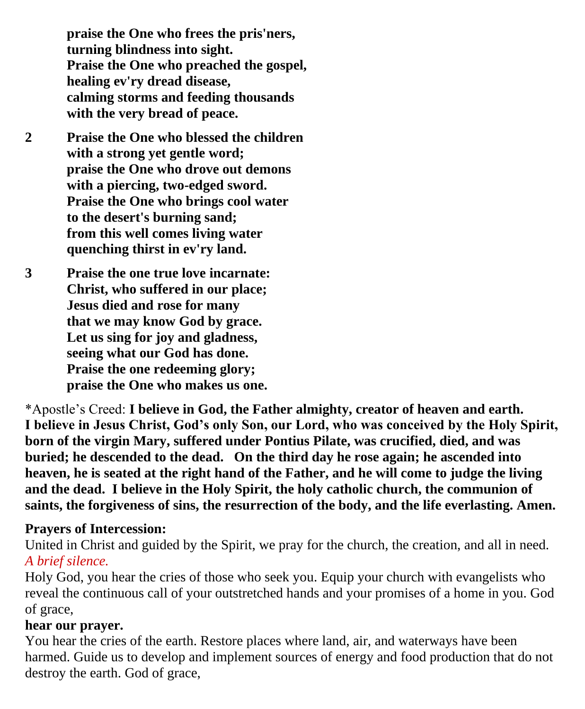**praise the One who frees the pris'ners, turning blindness into sight. Praise the One who preached the gospel, healing ev'ry dread disease, calming storms and feeding thousands with the very bread of peace.**

- **2 Praise the One who blessed the children with a strong yet gentle word; praise the One who drove out demons with a piercing, two-edged sword. Praise the One who brings cool water to the desert's burning sand; from this well comes living water quenching thirst in ev'ry land.**
- **3 Praise the one true love incarnate: Christ, who suffered in our place; Jesus died and rose for many that we may know God by grace. Let us sing for joy and gladness, seeing what our God has done. Praise the one redeeming glory; praise the One who makes us one.**

\*Apostle's Creed: **I believe in God, the Father almighty, creator of heaven and earth. I believe in Jesus Christ, God's only Son, our Lord, who was conceived by the Holy Spirit, born of the virgin Mary, suffered under Pontius Pilate, was crucified, died, and was buried; he descended to the dead. On the third day he rose again; he ascended into heaven, he is seated at the right hand of the Father, and he will come to judge the living and the dead. I believe in the Holy Spirit, the holy catholic church, the communion of saints, the forgiveness of sins, the resurrection of the body, and the life everlasting. Amen.**

#### **Prayers of Intercession:**

United in Christ and guided by the Spirit, we pray for the church, the creation, and all in need. *A brief silence.*

Holy God, you hear the cries of those who seek you. Equip your church with evangelists who reveal the continuous call of your outstretched hands and your promises of a home in you. God of grace,

### **hear our prayer.**

You hear the cries of the earth. Restore places where land, air, and waterways have been harmed. Guide us to develop and implement sources of energy and food production that do not destroy the earth. God of grace,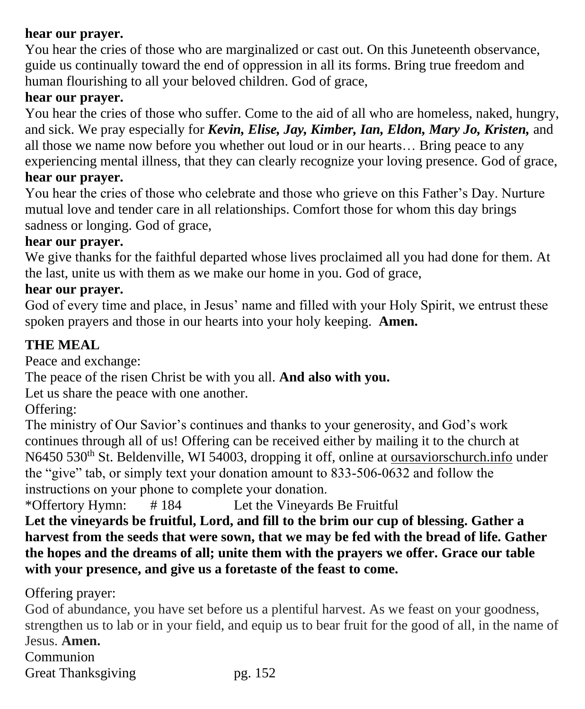#### **hear our prayer.**

You hear the cries of those who are marginalized or cast out. On this Juneteenth observance, guide us continually toward the end of oppression in all its forms. Bring true freedom and human flourishing to all your beloved children. God of grace,

### **hear our prayer.**

You hear the cries of those who suffer. Come to the aid of all who are homeless, naked, hungry, and sick. We pray especially for *Kevin, Elise, Jay, Kimber, Ian, Eldon, Mary Jo, Kristen,* and all those we name now before you whether out loud or in our hearts… Bring peace to any experiencing mental illness, that they can clearly recognize your loving presence. God of grace,

# **hear our prayer.**

You hear the cries of those who celebrate and those who grieve on this Father's Day. Nurture mutual love and tender care in all relationships. Comfort those for whom this day brings sadness or longing. God of grace,

#### **hear our prayer.**

We give thanks for the faithful departed whose lives proclaimed all you had done for them. At the last, unite us with them as we make our home in you. God of grace,

#### **hear our prayer.**

God of every time and place, in Jesus' name and filled with your Holy Spirit, we entrust these spoken prayers and those in our hearts into your holy keeping. **Amen.**

## **THE MEAL**

Peace and exchange:

The peace of the risen Christ be with you all. **And also with you.**

Let us share the peace with one another.

Offering:

The ministry of Our Savior's continues and thanks to your generosity, and God's work continues through all of us! Offering can be received either by mailing it to the church at N6450 530<sup>th</sup> St. Beldenville, WI 54003, dropping it off, online at oursaviorschurch.info under the "give" tab, or simply text your donation amount to 833-506-0632 and follow the instructions on your phone to complete your donation.

\*Offertory Hymn: # 184 Let the Vineyards Be Fruitful

**Let the vineyards be fruitful, Lord, and fill to the brim our cup of blessing. Gather a harvest from the seeds that were sown, that we may be fed with the bread of life. Gather the hopes and the dreams of all; unite them with the prayers we offer. Grace our table with your presence, and give us a foretaste of the feast to come.**

Offering prayer:

God of abundance, you have set before us a plentiful harvest. As we feast on your goodness, strengthen us to lab or in your field, and equip us to bear fruit for the good of all, in the name of Jesus. **Amen.** Communion

Great Thanksgiving pg. 152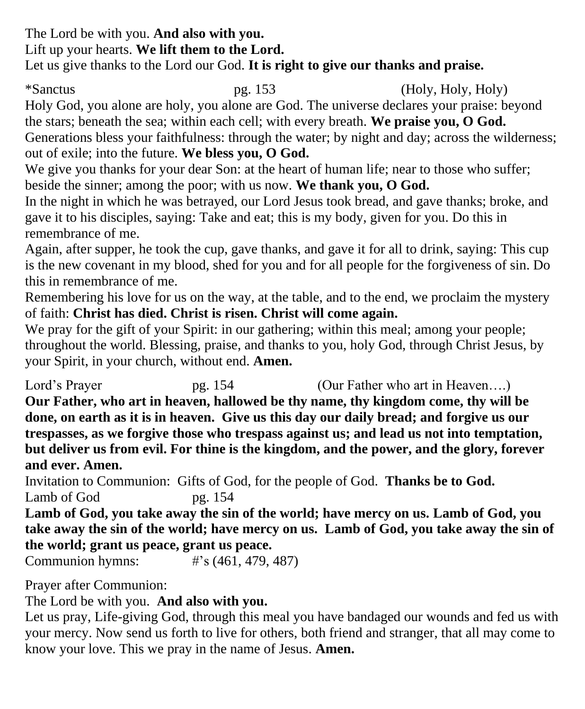The Lord be with you. **And also with you.** Lift up your hearts. **We lift them to the Lord.** Let us give thanks to the Lord our God. **It is right to give our thanks and praise.**

\*Sanctus pg. 153 (Holy, Holy, Holy) Holy God, you alone are holy, you alone are God. The universe declares your praise: beyond the stars; beneath the sea; within each cell; with every breath. **We praise you, O God.** Generations bless your faithfulness: through the water; by night and day; across the wilderness; out of exile; into the future. **We bless you, O God.**

We give you thanks for your dear Son: at the heart of human life; near to those who suffer; beside the sinner; among the poor; with us now. **We thank you, O God.**

In the night in which he was betrayed, our Lord Jesus took bread, and gave thanks; broke, and gave it to his disciples, saying: Take and eat; this is my body, given for you. Do this in remembrance of me.

Again, after supper, he took the cup, gave thanks, and gave it for all to drink, saying: This cup is the new covenant in my blood, shed for you and for all people for the forgiveness of sin. Do this in remembrance of me.

Remembering his love for us on the way, at the table, and to the end, we proclaim the mystery of faith: **Christ has died. Christ is risen. Christ will come again.**

We pray for the gift of your Spirit: in our gathering; within this meal; among your people; throughout the world. Blessing, praise, and thanks to you, holy God, through Christ Jesus, by your Spirit, in your church, without end. **Amen.**

Lord's Prayer pg. 154 (Our Father who art in Heaven....) **Our Father, who art in heaven, hallowed be thy name, thy kingdom come, thy will be done, on earth as it is in heaven. Give us this day our daily bread; and forgive us our trespasses, as we forgive those who trespass against us; and lead us not into temptation, but deliver us from evil. For thine is the kingdom, and the power, and the glory, forever and ever. Amen.**

Invitation to Communion: Gifts of God, for the people of God. **Thanks be to God.** Lamb of God pg. 154

**Lamb of God, you take away the sin of the world; have mercy on us. Lamb of God, you take away the sin of the world; have mercy on us. Lamb of God, you take away the sin of the world; grant us peace, grant us peace.**

Communion hymns: #'s (461, 479, 487)

Prayer after Communion:

The Lord be with you. **And also with you.**

Let us pray, Life-giving God, through this meal you have bandaged our wounds and fed us with your mercy. Now send us forth to live for others, both friend and stranger, that all may come to know your love. This we pray in the name of Jesus. **Amen.**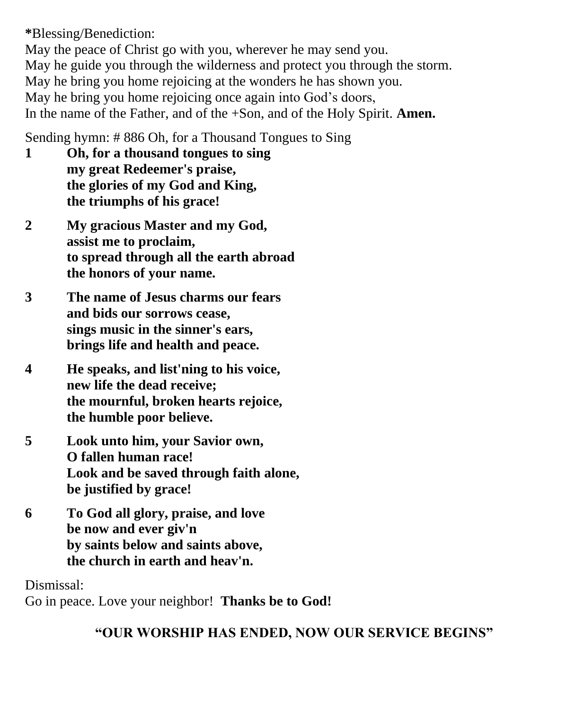**\***Blessing/Benediction:

May the peace of Christ go with you, wherever he may send you. May he guide you through the wilderness and protect you through the storm. May he bring you home rejoicing at the wonders he has shown you. May he bring you home rejoicing once again into God's doors, In the name of the Father, and of the +Son, and of the Holy Spirit. **Amen.**

Sending hymn: # 886 Oh, for a Thousand Tongues to Sing

- **1 Oh, for a thousand tongues to sing my great Redeemer's praise, the glories of my God and King, the triumphs of his grace!**
- **2 My gracious Master and my God, assist me to proclaim, to spread through all the earth abroad the honors of your name.**
- **3 The name of Jesus charms our fears and bids our sorrows cease, sings music in the sinner's ears, brings life and health and peace.**
- **4 He speaks, and list'ning to his voice, new life the dead receive; the mournful, broken hearts rejoice, the humble poor believe.**
- **5 Look unto him, your Savior own, O fallen human race! Look and be saved through faith alone, be justified by grace!**
- **6 To God all glory, praise, and love be now and ever giv'n by saints below and saints above, the church in earth and heav'n.**

Dismissal: Go in peace. Love your neighbor! **Thanks be to God!**

**"OUR WORSHIP HAS ENDED, NOW OUR SERVICE BEGINS"**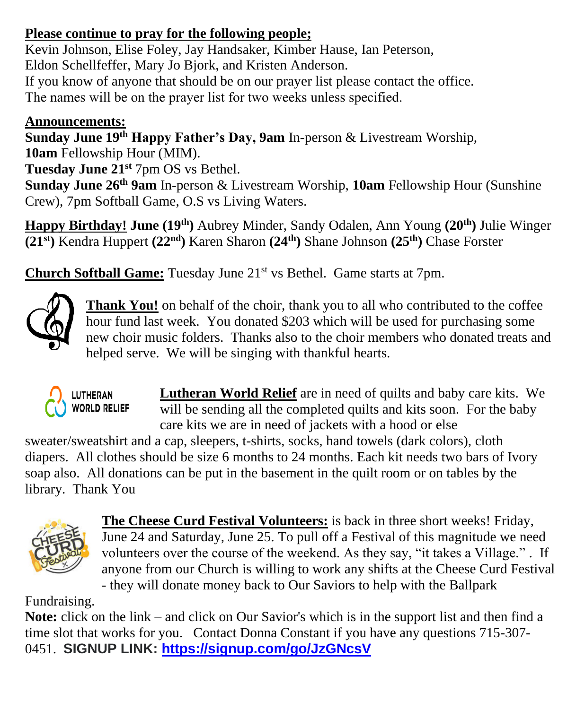## **Please continue to pray for the following people;**

Kevin Johnson, Elise Foley, Jay Handsaker, Kimber Hause, Ian Peterson, Eldon Schellfeffer, Mary Jo Bjork, and Kristen Anderson. If you know of anyone that should be on our prayer list please contact the office.

The names will be on the prayer list for two weeks unless specified.

## **Announcements:**

**Sunday June 19th Happy Father's Day, 9am** In-person & Livestream Worship, **10am** Fellowship Hour (MIM).

**Tuesday June 21st** 7pm OS vs Bethel.

**Sunday June 26th 9am** In-person & Livestream Worship, **10am** Fellowship Hour (Sunshine Crew), 7pm Softball Game, O.S vs Living Waters.

**Happy Birthday! June (19 th)** Aubrey Minder, Sandy Odalen, Ann Young **(20th)** Julie Winger **(21st)** Kendra Huppert **(22nd)** Karen Sharon **(24th)** Shane Johnson **(25th)** Chase Forster

**Church Softball Game:** Tuesday June 21<sup>st</sup> vs Bethel. Game starts at 7pm.



Thank You! on behalf of the choir, thank you to all who contributed to the coffee hour fund last week. You donated \$203 which will be used for purchasing some new choir music folders. Thanks also to the choir members who donated treats and helped serve. We will be singing with thankful hearts.



**Lutheran World Relief** are in need of quilts and baby care kits. We will be sending all the completed quilts and kits soon. For the baby care kits we are in need of jackets with a hood or else

sweater/sweatshirt and a cap, sleepers, t-shirts, socks, hand towels (dark colors), cloth diapers. All clothes should be size 6 months to 24 months. Each kit needs two bars of Ivory soap also. All donations can be put in the basement in the quilt room or on tables by the library. Thank You



**The Cheese Curd Festival Volunteers:** is back in three short weeks! Friday, June 24 and Saturday, June 25. To pull off a Festival of this magnitude we need volunteers over the course of the weekend. As they say, "it takes a Village." . If anyone from our Church is willing to work any shifts at the Cheese Curd Festival

- they will donate money back to Our Saviors to help with the Ballpark

Fundraising.

**Note:** click on the link – and click on Our Savior's which is in the support list and then find a time slot that works for you. Contact Donna Constant if you have any questions 715-307- 0451. **SIGNUP LINK:<https://signup.com/go/JzGNcsV>**